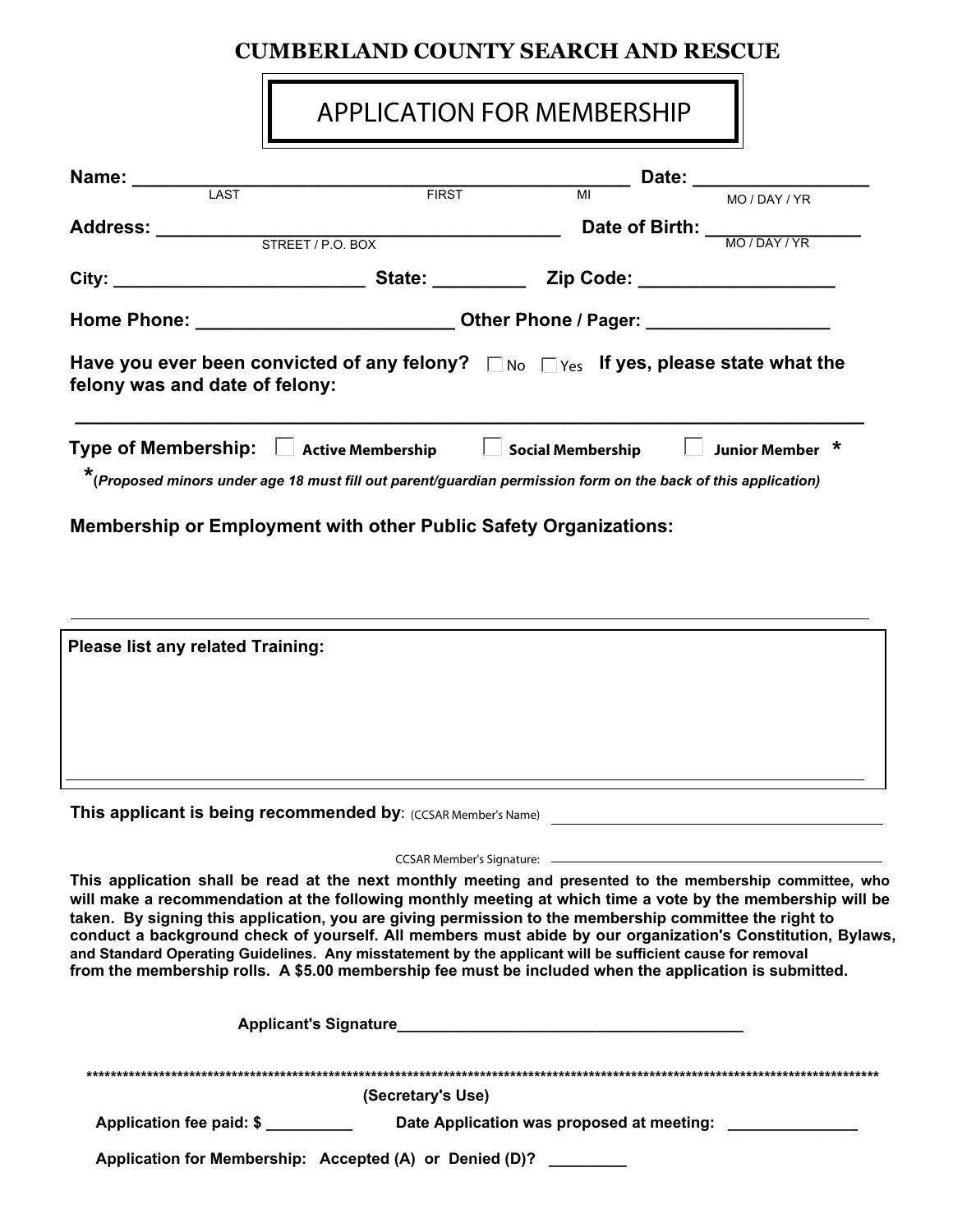## **CUMBERLAND COUNTY SEARCH AND RESCUE**

## APPLICATION FOR MEMBERSHIP

| Name: ______                                                                                                                                                             | FIRST                                                                             |    | Date: the contract of the contract of the contract of the contract of the contract of the contract of the contract of the contract of the contract of the contract of the contract of the contract of the contract of the cont |
|--------------------------------------------------------------------------------------------------------------------------------------------------------------------------|-----------------------------------------------------------------------------------|----|--------------------------------------------------------------------------------------------------------------------------------------------------------------------------------------------------------------------------------|
| LAST                                                                                                                                                                     |                                                                                   | MI | MO / DAY / YR                                                                                                                                                                                                                  |
|                                                                                                                                                                          |                                                                                   |    | Date of Birth: MO/DAY/YR                                                                                                                                                                                                       |
| Address: <u>STREET / P.O. BOX</u>                                                                                                                                        |                                                                                   |    |                                                                                                                                                                                                                                |
|                                                                                                                                                                          |                                                                                   |    |                                                                                                                                                                                                                                |
|                                                                                                                                                                          | Home Phone: ___________________________________Other Phone / Pager: _____________ |    |                                                                                                                                                                                                                                |
| Have you ever been convicted of any felony? $\Box$ No $\Box$ Yes If yes, please state what the<br>felony was and date of felony:                                         |                                                                                   |    |                                                                                                                                                                                                                                |
| Type of Membership: Active Membership Social Membership<br>*(Proposed minors under age 18 must fill out parent/guardian permission form on the back of this application) |                                                                                   |    | <b>Junior Member</b>                                                                                                                                                                                                           |
| <b>Membership or Employment with other Public Safety Organizations:</b>                                                                                                  |                                                                                   |    |                                                                                                                                                                                                                                |
|                                                                                                                                                                          |                                                                                   |    |                                                                                                                                                                                                                                |
|                                                                                                                                                                          |                                                                                   |    |                                                                                                                                                                                                                                |
| Please list any related Training:                                                                                                                                        |                                                                                   |    |                                                                                                                                                                                                                                |
|                                                                                                                                                                          |                                                                                   |    |                                                                                                                                                                                                                                |

**This applicant is being recommended by: (CCSAR Member's Name)** 

CCSAR Member's Signature:

**This application shall be read at the next monthly meeting and presented to the membership committee, who will make a recommendation at the following monthly meeting at which time a vote by the membership will be taken. By signing this application, you are giving permission to the membership committee the right to conduct a background check of yourself. All members must abide by our organization's Constitution, Bylaws, and Standard Operating Guidelines. Any misstatement by the applicant will be sufficient cause for removal from the membership rolls. A \$5.00 membership fee must be included when the application is submitted.** 

| <b>Applicant's Signature</b>                            |                                           |
|---------------------------------------------------------|-------------------------------------------|
|                                                         |                                           |
|                                                         | (Secretary's Use)                         |
| Application fee paid: \$                                | Date Application was proposed at meeting: |
| Application for Membership: Accepted (A) or Denied (D)? |                                           |